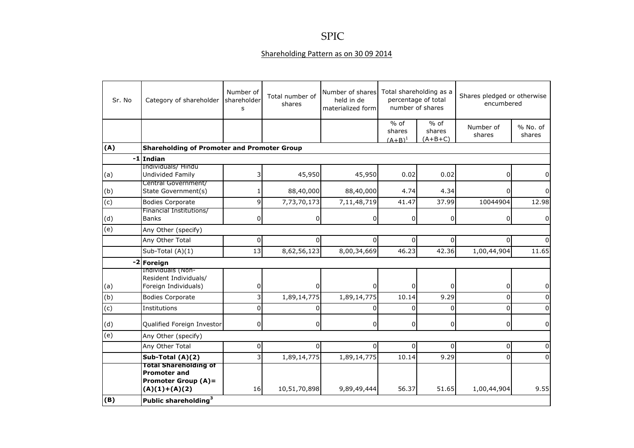## SPIC

## Shareholding Pattern as on 30 09 2014

| Sr. No | Category of shareholder                                                                              | Number of<br>shareholder<br>s | Total number of<br>shares | Number of shares<br>held in de<br>materialized form | Total shareholding as a<br>percentage of total<br>number of shares |                               | Shares pledged or otherwise<br>encumbered |                    |
|--------|------------------------------------------------------------------------------------------------------|-------------------------------|---------------------------|-----------------------------------------------------|--------------------------------------------------------------------|-------------------------------|-------------------------------------------|--------------------|
|        |                                                                                                      |                               |                           |                                                     | $%$ of<br>shares<br>$(A+B)^1$                                      | $%$ of<br>shares<br>$(A+B+C)$ | Number of<br>shares                       | % No. of<br>shares |
| (A)    | <b>Shareholding of Promoter and Promoter Group</b>                                                   |                               |                           |                                                     |                                                                    |                               |                                           |                    |
|        | $-1$ Indian                                                                                          |                               |                           |                                                     |                                                                    |                               |                                           |                    |
| (a)    | Individuals/ Hindu<br><b>Undivided Family</b>                                                        |                               | 45,950                    | 45,950                                              | 0.02                                                               | 0.02                          | 0                                         | 0                  |
| (b)    | Central Government/<br>State Government(s)                                                           |                               | 88,40,000                 | 88,40,000                                           | 4.74                                                               | 4.34                          | 0                                         |                    |
| (c)    | <b>Bodies Corporate</b>                                                                              | q                             | 7,73,70,173               | 7,11,48,719                                         | 41.47                                                              | 37.99                         | 10044904                                  | 12.98              |
| (d)    | Financial Institutions/<br><b>Banks</b>                                                              | 0                             | 0                         | 0                                                   | $\Omega$                                                           | $\overline{0}$                | 0                                         | 0                  |
| (e)    | Any Other (specify)                                                                                  |                               |                           |                                                     |                                                                    |                               |                                           |                    |
|        | Any Other Total                                                                                      | 0                             | 0                         | 0                                                   | $\Omega$                                                           | $\overline{0}$                | 0                                         |                    |
|        | Sub-Total (A)(1)                                                                                     | 13                            | 8,62,56,123               | 8,00,34,669                                         | 46.23                                                              | 42.36                         | 1,00,44,904                               | 11.65              |
|        | -2 Foreign                                                                                           |                               |                           |                                                     |                                                                    |                               |                                           |                    |
| (a)    | Individuals (Non-<br>Resident Individuals/<br>Foreign Individuals)                                   | 0                             |                           |                                                     | U                                                                  | $\Omega$                      | 0                                         | 0                  |
| (b)    | <b>Bodies Corporate</b>                                                                              |                               | 1,89,14,775               | 1,89,14,775                                         | 10.14                                                              | 9.29                          | 0                                         |                    |
| (c)    | Institutions                                                                                         | $\Omega$                      | U                         | $\Omega$                                            | $\Omega$                                                           | $\Omega$                      | 0                                         |                    |
| (d)    | Qualified Foreign Investor                                                                           | $\overline{0}$                | $\overline{0}$            | 0                                                   | $\mathbf 0$                                                        | $\overline{0}$                | 0                                         | 0                  |
| (e)    | Any Other (specify)                                                                                  |                               |                           |                                                     |                                                                    |                               |                                           |                    |
|        | Any Other Total                                                                                      | 0                             | $\Omega$                  | $\Omega$                                            | $\Omega$                                                           | $\overline{0}$                | 0                                         | 0                  |
|        | Sub-Total $(A)(2)$                                                                                   | 3                             | 1,89,14,775               | 1,89,14,775                                         | 10.14                                                              | 9.29                          | 0                                         | $\Omega$           |
|        | <b>Total Shareholding of</b><br><b>Promoter and</b><br><b>Promoter Group (A)=</b><br>$(A)(1)+(A)(2)$ | 16 <sup>1</sup>               | 10,51,70,898              | 9,89,49,444                                         | 56.37                                                              | 51.65                         | 1,00,44,904                               | 9.55               |
| (B)    | Public shareholding <sup>3</sup>                                                                     |                               |                           |                                                     |                                                                    |                               |                                           |                    |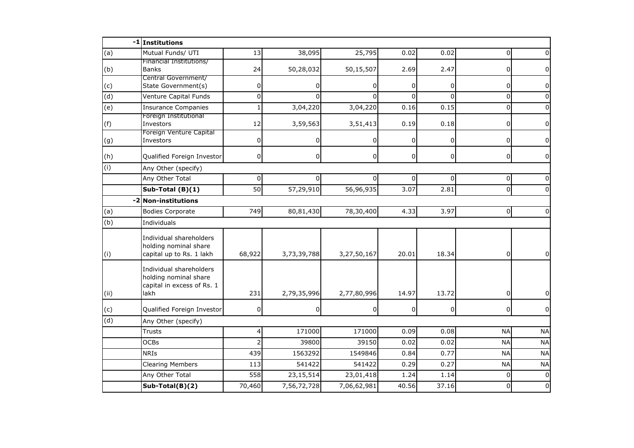|                | -1 Institutions                                                                        |                |                |                |          |                |                |              |  |
|----------------|----------------------------------------------------------------------------------------|----------------|----------------|----------------|----------|----------------|----------------|--------------|--|
| (a)            | Mutual Funds/ UTI                                                                      | 13             | 38,095         | 25,795         | 0.02     | 0.02           | $\Omega$       |              |  |
| (b)            | Financial Institutions/<br><b>Banks</b>                                                | 24             | 50,28,032      | 50,15,507      | 2.69     | 2.47           | 0              |              |  |
| (c)            | Central Government/<br>State Government(s)                                             | 0              | 0              | 0              | $\Omega$ | $\overline{0}$ | 0              | 0            |  |
| $\overline{d}$ | Venture Capital Funds                                                                  | $\mathbf 0$    | $\Omega$       | $\Omega$       | ΩI       | $\Omega$       | 0              | <sup>0</sup> |  |
| (e)            | <b>Insurance Companies</b>                                                             | $\mathbf{1}$   | 3,04,220       | 3,04,220       | 0.16     | 0.15           | $\mathbf 0$    |              |  |
| (f)            | Foreign Institutional<br>Investors                                                     | 12             | 3,59,563       | 3,51,413       | 0.19     | 0.18           | 0              | 0            |  |
| (g)            | Foreign Venture Capital<br>Investors                                                   | 0              |                | 0              | 0        | $\overline{0}$ | 0              | 0            |  |
| (h)            | Qualified Foreign Investor                                                             | 0              | $\overline{0}$ | $\overline{0}$ | 0        | $\overline{0}$ | $\overline{0}$ | 0            |  |
| (i)            | Any Other (specify)                                                                    |                |                |                |          |                |                |              |  |
|                | Any Other Total                                                                        | 0              |                | 0              | 0        | $\Omega$       | 0              |              |  |
|                | Sub-Total (B)(1)                                                                       | 50             | 57,29,910      | 56,96,935      | 3.07     | 2.81           | $\mathbf 0$    |              |  |
| $-2$           | <b>Non-institutions</b>                                                                |                |                |                |          |                |                |              |  |
| (a)            | <b>Bodies Corporate</b>                                                                | 749            | 80,81,430      | 78,30,400      | 4.33     | 3.97           | $\overline{0}$ | $\Omega$     |  |
| (b)            | Individuals                                                                            |                |                |                |          |                |                |              |  |
| (i)            | Individual shareholders<br>holding nominal share<br>capital up to Rs. 1 lakh           | 68,922         | 3,73,39,788    | 3,27,50,167    | 20.01    | 18.34          | $\overline{0}$ | 0            |  |
| (i)            | Individual shareholders<br>holding nominal share<br>capital in excess of Rs. 1<br>lakh | 231            | 2,79,35,996    | 2,77,80,996    | 14.97    | 13.72          | 0              |              |  |
| (c)            | Qualified Foreign Investor                                                             | 0              | 0              | 0              | 0        | $\overline{0}$ | 0              | $\Omega$     |  |
| (d)            | Any Other (specify)                                                                    |                |                |                |          |                |                |              |  |
|                | <b>Trusts</b>                                                                          | 4              | 171000         | 171000         | 0.09     | 0.08           | <b>NA</b>      | <b>NA</b>    |  |
|                | <b>OCBs</b>                                                                            | $\overline{2}$ | 39800          | 39150          | 0.02     | 0.02           | <b>NA</b>      | <b>NA</b>    |  |
|                | <b>NRIS</b>                                                                            | 439            | 1563292        | 1549846        | 0.84     | 0.77           | <b>NA</b>      | <b>NA</b>    |  |
|                | <b>Clearing Members</b>                                                                | 113            | 541422         | 541422         | 0.29     | 0.27           | <b>NA</b>      | <b>NA</b>    |  |
|                | Any Other Total                                                                        | 558            | 23,15,514      | 23,01,418      | 1.24     | 1.14           | $\Omega$       | $\Omega$     |  |
|                | Sub-Total(B)(2)                                                                        | 70,460         | 7,56,72,728    | 7,06,62,981    | 40.56    | 37.16          | $\Omega$       | $\Omega$     |  |